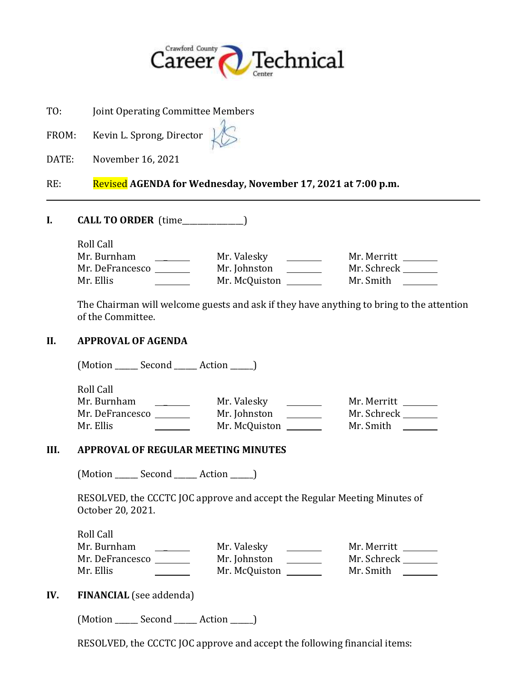

TO: Joint Operating Committee Members

FROM: Kevin L. Sprong, Director

DATE: November 16, 2021

# RE: Revised **AGENDA for Wednesday, November 17, 2021 at 7:00 p.m.**

**I. CALL TO ORDER** (time\_\_\_\_\_\_\_\_\_\_\_\_\_\_\_\_)

Roll Call Mr. Burnham \_ Mr. Valesky Mr. Merritt Mr. DeFrancesco Mr. Johnston Mr. Schreck Mr. Ellis Mr. McQuiston Mr. Smith

The Chairman will welcome guests and ask if they have anything to bring to the attention of the Committee.

#### **II. APPROVAL OF AGENDA**

(Motion \_\_\_\_\_\_ Second \_\_\_\_\_\_ Action \_\_\_\_\_\_)

Roll Call Mr. Burnham \_ Mr. Valesky Mr. Merritt Mr. DeFrancesco Mr. Johnston Mr. Schreck Mr. Ellis **Mr. McQuiston** Mr. McQuiston Mr. Smith

#### **III. APPROVAL OF REGULAR MEETING MINUTES**

(Motion Second Action )

RESOLVED, the CCCTC JOC approve and accept the Regular Meeting Minutes of October 20, 2021.

Roll Call Mr. Burnham \_ Mr. Valesky Mr. Merritt Mr. DeFrancesco Mr. Johnston Mr. Schreck Mr. Ellis Mr. McQuiston Mr. Smith

## **IV. FINANCIAL** (see addenda)

(Motion \_\_\_\_\_\_ Second \_\_\_\_\_\_ Action \_\_\_\_\_\_)

RESOLVED, the CCCTC JOC approve and accept the following financial items: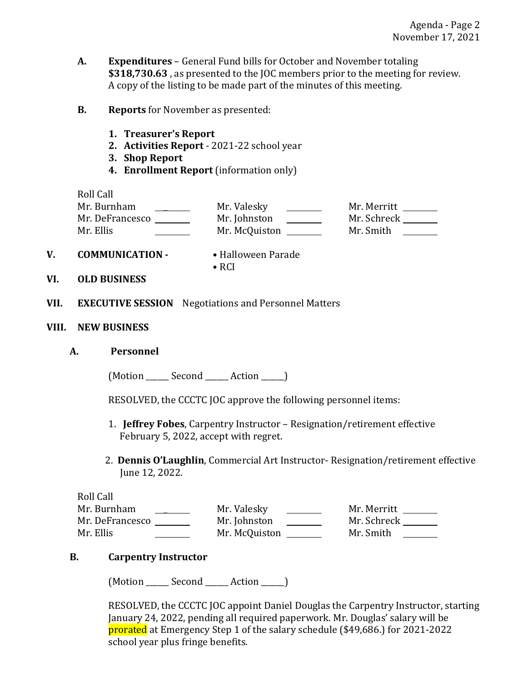- **A. Expenditures**  General Fund bills for October and November totaling **\$318,730.63** , as presented to the JOC members prior to the meeting for review. A copy of the listing to be made part of the minutes of this meeting.
- **B. Reports** for November as presented:
	- **1. Treasurer's Report**
	- **2. Activities Report**  2021-22 school year
	- **3. Shop Report**
	- **4. Enrollment Report** (information only)

Roll Call Mr. Burnham \_ Mr. Valesky Mr. Merritt Mr. DeFrancesco Mr. Johnston Mr. Schreck Mr. Ellis Mr. McQuiston Mr. Smith

• RCI

- **V. COMMUNICATION**  Halloween Parade
- **VI. OLD BUSINESS**
- **VII. EXECUTIVE SESSION** Negotiations and Personnel Matters
- **VIII. NEW BUSINESS**
	- **A. Personnel**

(Motion Second Action )

RESOLVED, the CCCTC JOC approve the following personnel items:

- 1. **Jeffrey Fobes**, Carpentry Instructor Resignation/retirement effective February 5, 2022, accept with regret.
- 2. **Dennis O'Laughlin**, Commercial Art Instructor- Resignation/retirement effective June 12, 2022.

Roll Call Mr. Burnham \_ Mr. Valesky Mr. Merritt Mr. DeFrancesco \_\_\_\_\_\_\_\_\_ Mr. Johnston \_\_\_\_\_\_\_\_ Mr. Schreck \_\_\_\_\_\_ Mr. Ellis Mr. McQuiston Mr. Smith

## **B. Carpentry Instructor**

(Motion \_\_\_\_\_\_ Second \_\_\_\_\_\_ Action \_\_\_\_\_\_)

RESOLVED, the CCCTC JOC appoint Daniel Douglas the Carpentry Instructor, starting January 24, 2022, pending all required paperwork. Mr. Douglas' salary will be prorated at Emergency Step 1 of the salary schedule (\$49,686.) for 2021-2022 school year plus fringe benefits.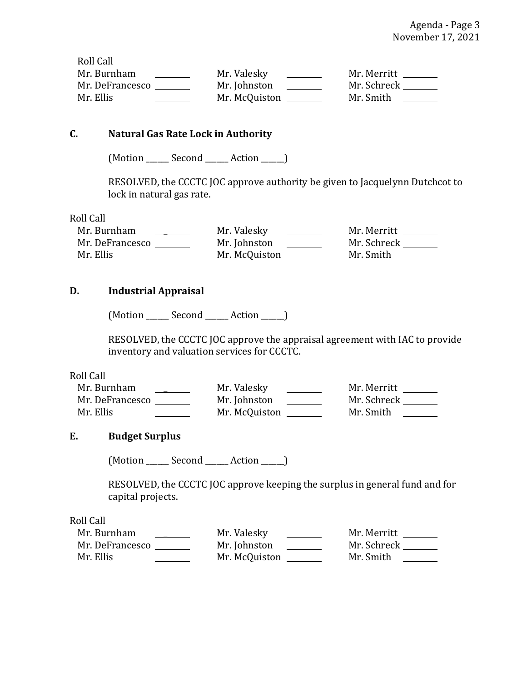Roll Call Mr. Burnham \_ Mr. Valesky Mr. Merritt Mr. DeFrancesco Mr. Johnston Mr. Schreck Mr. Ellis Mr. McQuiston Mr. Smith

## **C. Natural Gas Rate Lock in Authority**

(Motion Second Action )

RESOLVED, the CCCTC JOC approve authority be given to Jacquelynn Dutchcot to lock in natural gas rate.

#### Roll Call

| Mr. Burnham     | Mr. Valesky   | Mr. Merritt |
|-----------------|---------------|-------------|
| Mr. DeFrancesco | Mr. Johnston  | Mr. Schreck |
| Mr. Ellis       | Mr. McQuiston | Mr. Smith   |

## **D. Industrial Appraisal**

(Motion \_\_\_\_\_\_ Second \_\_\_\_\_\_ Action \_\_\_\_\_\_)

RESOLVED, the CCCTC JOC approve the appraisal agreement with IAC to provide inventory and valuation services for CCCTC.

Roll Call

| Mr. Burnham     | Mr. Valesky   | Mr. Merritt |
|-----------------|---------------|-------------|
| Mr. DeFrancesco | Mr. Johnston  | Mr. Schreck |
| Mr. Ellis       | Mr. McQuiston | Mr. Smith   |

## **E. Budget Surplus**

(Motion Second Action )

RESOLVED, the CCCTC JOC approve keeping the surplus in general fund and for capital projects.

Roll Call

| Mr. Burnham     | Mr. Valesky   | Mr. Merritt |
|-----------------|---------------|-------------|
| Mr. DeFrancesco | Mr. Johnston  | Mr. Schreck |
| Mr. Ellis       | Mr. McQuiston | Mr. Smith   |